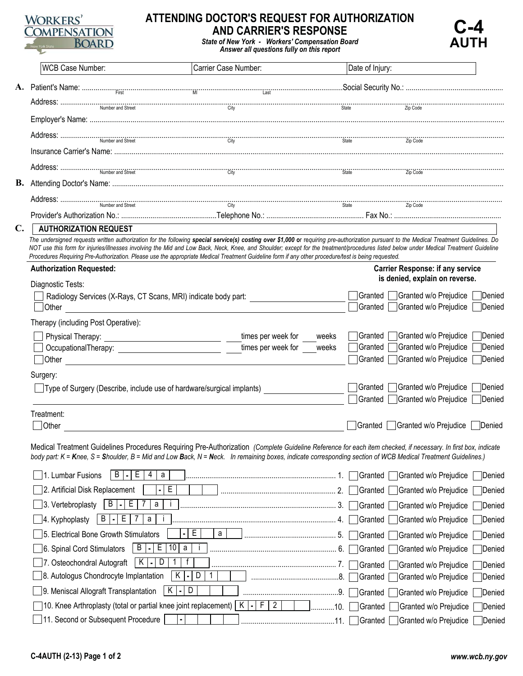

## **ATTENDING DOCTOR'S REQUEST FOR AUTHORIZATION AND CARRIER'S RESPONSE**



|                | WCB Case Number:                                                                                                                                                                                                                                                                                                                                                                                                                                                                                                                         | Carrier Case Number:        |             | Date of Injury:    |                                                |                         |  |
|----------------|------------------------------------------------------------------------------------------------------------------------------------------------------------------------------------------------------------------------------------------------------------------------------------------------------------------------------------------------------------------------------------------------------------------------------------------------------------------------------------------------------------------------------------------|-----------------------------|-------------|--------------------|------------------------------------------------|-------------------------|--|
|                |                                                                                                                                                                                                                                                                                                                                                                                                                                                                                                                                          |                             |             |                    |                                                |                         |  |
|                | $\text{Address:} \begin{minipage}{0.9\linewidth} \textbf{Address:} \begin{minipage}{0.9\linewidth} \textbf{Numbers:} \begin{minipage}{0.9\linewidth} \textbf{1} & \textbf{0.000} \end{minipage} \begin{minipage}{0.9\linewidth} \textbf{1} & \textbf{0.000} \end{minipage} \begin{minipage}{0.9\linewidth} \textbf{1} & \textbf{0.000} \end{minipage} \begin{minipage}{0.9\linewidth} \textbf{1} & \textbf{0.000} \end{minipage} \begin{minipage}{0.9\linewidth} \textbf{1} & \textbf{0.$                                                |                             |             |                    |                                                |                         |  |
|                |                                                                                                                                                                                                                                                                                                                                                                                                                                                                                                                                          |                             |             |                    |                                                |                         |  |
|                |                                                                                                                                                                                                                                                                                                                                                                                                                                                                                                                                          |                             |             |                    |                                                |                         |  |
|                |                                                                                                                                                                                                                                                                                                                                                                                                                                                                                                                                          |                             |             |                    |                                                |                         |  |
|                |                                                                                                                                                                                                                                                                                                                                                                                                                                                                                                                                          |                             |             |                    |                                                |                         |  |
|                |                                                                                                                                                                                                                                                                                                                                                                                                                                                                                                                                          |                             |             |                    |                                                |                         |  |
| В.             |                                                                                                                                                                                                                                                                                                                                                                                                                                                                                                                                          |                             |             |                    |                                                |                         |  |
|                |                                                                                                                                                                                                                                                                                                                                                                                                                                                                                                                                          |                             |             |                    |                                                |                         |  |
|                |                                                                                                                                                                                                                                                                                                                                                                                                                                                                                                                                          |                             |             |                    |                                                |                         |  |
| $\mathbf{C}$ . | <b>AUTHORIZATION REQUEST</b>                                                                                                                                                                                                                                                                                                                                                                                                                                                                                                             |                             |             |                    |                                                |                         |  |
|                | The undersigned requests written authorization for the following special service(s) costing over \$1,000 or requiring pre-authorization pursuant to the Medical Treatment Guidelines. Do<br>NOT use this form for injuries/illnesses involving the Mid and Low Back, Neck, Knee, and Shoulder; except for the treatment/procedures listed below under Medical Treatment Guideline<br>Procedures Requiring Pre-Authorization. Please use the appropriate Medical Treatment Guideline form if any other procedure/test is being requested. |                             |             |                    |                                                |                         |  |
|                | <b>Authorization Requested:</b>                                                                                                                                                                                                                                                                                                                                                                                                                                                                                                          |                             |             |                    | <b>Carrier Response: if any service</b>        |                         |  |
|                | Diagnostic Tests:                                                                                                                                                                                                                                                                                                                                                                                                                                                                                                                        |                             |             |                    | is denied, explain on reverse.                 |                         |  |
|                | Radiology Services (X-Rays, CT Scans, MRI) indicate body part:                                                                                                                                                                                                                                                                                                                                                                                                                                                                           |                             |             | Granted            | Granted w/o Prejudice                          | Denied                  |  |
|                | Other                                                                                                                                                                                                                                                                                                                                                                                                                                                                                                                                    |                             |             | Granted            | Granted w/o Prejudice                          | Denied                  |  |
|                | Therapy (including Post Operative):                                                                                                                                                                                                                                                                                                                                                                                                                                                                                                      |                             |             |                    |                                                |                         |  |
|                |                                                                                                                                                                                                                                                                                                                                                                                                                                                                                                                                          | times per week for<br>weeks |             | Granted            | Granted w/o Prejudice                          | Denied                  |  |
|                |                                                                                                                                                                                                                                                                                                                                                                                                                                                                                                                                          | times per week for<br>weeks |             | Granted            | Granted w/o Prejudice                          | Denied                  |  |
|                |                                                                                                                                                                                                                                                                                                                                                                                                                                                                                                                                          |                             |             | Granted            | Granted w/o Prejudice                          | Denied                  |  |
|                | Surgery:                                                                                                                                                                                                                                                                                                                                                                                                                                                                                                                                 |                             |             | Granted            | Granted w/o Prejudice                          | Denied                  |  |
|                | Type of Surgery (Describe, include use of hardware/surgical implants)                                                                                                                                                                                                                                                                                                                                                                                                                                                                    |                             |             |                    | Granted Granted w/o Prejudice                  | Denied                  |  |
|                | Treatment:                                                                                                                                                                                                                                                                                                                                                                                                                                                                                                                               |                             |             |                    |                                                |                         |  |
|                | Other                                                                                                                                                                                                                                                                                                                                                                                                                                                                                                                                    |                             |             |                    | Granted Granted w/o Prejudice                  | Denied                  |  |
|                |                                                                                                                                                                                                                                                                                                                                                                                                                                                                                                                                          |                             |             |                    |                                                |                         |  |
|                | Medical Treatment Guidelines Procedures Requiring Pre-Authorization (Complete Guideline Reference for each item checked, if necessary. In first box, indicate<br>body part: K = Knee, S = Shoulder, B = Mid and Low Back, N = Neck. In remaining boxes, indicate corresponding section of WCB Medical Treatment Guidelines.)                                                                                                                                                                                                             |                             |             |                    |                                                |                         |  |
|                | E.<br>a<br>1. Lumbar Fusions<br>B<br>4                                                                                                                                                                                                                                                                                                                                                                                                                                                                                                   |                             |             | Granted            | Granted w/o Prejudice                          | Denied                  |  |
|                |                                                                                                                                                                                                                                                                                                                                                                                                                                                                                                                                          |                             |             |                    |                                                |                         |  |
|                | E<br>2. Artificial Disk Replacement                                                                                                                                                                                                                                                                                                                                                                                                                                                                                                      |                             | 2.          | Granted            | Granted w/o Prejudice                          | Denied                  |  |
|                | E<br>B<br>3. Vertebroplasty<br>a                                                                                                                                                                                                                                                                                                                                                                                                                                                                                                         |                             | 3.          | Granted            | Granted w/o Prejudice                          | Denied                  |  |
|                | E<br>B<br>4. Kyphoplasty<br>а                                                                                                                                                                                                                                                                                                                                                                                                                                                                                                            |                             | 4.          | Granted            | Granted w/o Prejudice                          | Denied                  |  |
|                | 5. Electrical Bone Growth Stimulators<br>٠                                                                                                                                                                                                                                                                                                                                                                                                                                                                                               | E<br>а                      | 5.          | Granted            | Granted w/o Prejudice                          |                         |  |
|                | 10<br>E<br>B<br>$\mathsf a$<br>6. Spinal Cord Stimulators                                                                                                                                                                                                                                                                                                                                                                                                                                                                                |                             | 6.          | Granted            | Granted w/o Prejudice                          | Denied                  |  |
|                | $K$ $\vert \cdot \vert$ D<br>f<br>7. Osteochondral Autograft                                                                                                                                                                                                                                                                                                                                                                                                                                                                             |                             |             |                    |                                                | Denied                  |  |
|                | $\mathsf{K}$<br>8. Autologus Chondrocyte Implantation<br>ı.                                                                                                                                                                                                                                                                                                                                                                                                                                                                              | D<br>$\mathbf 1$            | 7.<br>.8.   | Granted            | Granted w/o Prejudice                          | Denied                  |  |
|                | K                                                                                                                                                                                                                                                                                                                                                                                                                                                                                                                                        | D                           |             | Granted            | Granted w/o Prejudice                          | Denied                  |  |
|                | 9. Meniscal Allograft Transplantation<br>10. Knee Arthroplasty (total or partial knee joint replacement)                                                                                                                                                                                                                                                                                                                                                                                                                                 | K<br>2<br>F<br>$\bullet$    | .9.<br>.10. | Granted<br>Granted | Granted w/o Prejudice<br>Granted w/o Prejudice | <b>Denied</b><br>Denied |  |

**C-4 AUTH**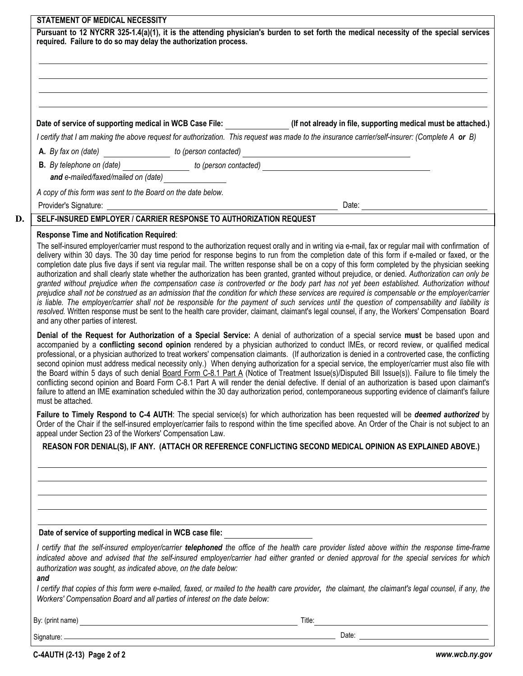| STATEMENT OF MEDICAL NECESSITY                                                                                                                                                                                                                                                                                                                                                                                                                                                                                                                                                                                                                                                                                                                                                                                                                                                                                                                                                                                                                                                                                                                                                                                                                                                                                    |                                                                                                                                                                                                                                                                                                                                                                                                                                                                                                                                                                                                                                                                                                                                                                                                                                                                                                                                                                                                                                                      |  |  |
|-------------------------------------------------------------------------------------------------------------------------------------------------------------------------------------------------------------------------------------------------------------------------------------------------------------------------------------------------------------------------------------------------------------------------------------------------------------------------------------------------------------------------------------------------------------------------------------------------------------------------------------------------------------------------------------------------------------------------------------------------------------------------------------------------------------------------------------------------------------------------------------------------------------------------------------------------------------------------------------------------------------------------------------------------------------------------------------------------------------------------------------------------------------------------------------------------------------------------------------------------------------------------------------------------------------------|------------------------------------------------------------------------------------------------------------------------------------------------------------------------------------------------------------------------------------------------------------------------------------------------------------------------------------------------------------------------------------------------------------------------------------------------------------------------------------------------------------------------------------------------------------------------------------------------------------------------------------------------------------------------------------------------------------------------------------------------------------------------------------------------------------------------------------------------------------------------------------------------------------------------------------------------------------------------------------------------------------------------------------------------------|--|--|
| required. Failure to do so may delay the authorization process.                                                                                                                                                                                                                                                                                                                                                                                                                                                                                                                                                                                                                                                                                                                                                                                                                                                                                                                                                                                                                                                                                                                                                                                                                                                   | Pursuant to 12 NYCRR 325-1.4(a)(1), it is the attending physician's burden to set forth the medical necessity of the special services                                                                                                                                                                                                                                                                                                                                                                                                                                                                                                                                                                                                                                                                                                                                                                                                                                                                                                                |  |  |
|                                                                                                                                                                                                                                                                                                                                                                                                                                                                                                                                                                                                                                                                                                                                                                                                                                                                                                                                                                                                                                                                                                                                                                                                                                                                                                                   |                                                                                                                                                                                                                                                                                                                                                                                                                                                                                                                                                                                                                                                                                                                                                                                                                                                                                                                                                                                                                                                      |  |  |
|                                                                                                                                                                                                                                                                                                                                                                                                                                                                                                                                                                                                                                                                                                                                                                                                                                                                                                                                                                                                                                                                                                                                                                                                                                                                                                                   | ,我们也不会有什么。""我们的人,我们也不会有什么?""我们的人,我们也不会有什么?""我们的人,我们的人,我们的人,我们的人,我们的人,我们的人,我们的人,我                                                                                                                                                                                                                                                                                                                                                                                                                                                                                                                                                                                                                                                                                                                                                                                                                                                                                                                                                                     |  |  |
|                                                                                                                                                                                                                                                                                                                                                                                                                                                                                                                                                                                                                                                                                                                                                                                                                                                                                                                                                                                                                                                                                                                                                                                                                                                                                                                   | Date of service of supporting medical in WCB Case File: ______________(If not already in file, supporting medical must be attached.)                                                                                                                                                                                                                                                                                                                                                                                                                                                                                                                                                                                                                                                                                                                                                                                                                                                                                                                 |  |  |
|                                                                                                                                                                                                                                                                                                                                                                                                                                                                                                                                                                                                                                                                                                                                                                                                                                                                                                                                                                                                                                                                                                                                                                                                                                                                                                                   | I certify that I am making the above request for authorization. This request was made to the insurance carrier/self-insurer: (Complete A or B)                                                                                                                                                                                                                                                                                                                                                                                                                                                                                                                                                                                                                                                                                                                                                                                                                                                                                                       |  |  |
|                                                                                                                                                                                                                                                                                                                                                                                                                                                                                                                                                                                                                                                                                                                                                                                                                                                                                                                                                                                                                                                                                                                                                                                                                                                                                                                   |                                                                                                                                                                                                                                                                                                                                                                                                                                                                                                                                                                                                                                                                                                                                                                                                                                                                                                                                                                                                                                                      |  |  |
|                                                                                                                                                                                                                                                                                                                                                                                                                                                                                                                                                                                                                                                                                                                                                                                                                                                                                                                                                                                                                                                                                                                                                                                                                                                                                                                   | <b>B.</b> By telephone on (date) $\frac{1}{\sqrt{1-\frac{1}{n}}\sqrt{1-\frac{1}{n}}}$ to (person contacted) $\frac{1}{\sqrt{1-\frac{1}{n}}\sqrt{1-\frac{1}{n}}\sqrt{1-\frac{1}{n}}\sqrt{1-\frac{1}{n}}}}$                                                                                                                                                                                                                                                                                                                                                                                                                                                                                                                                                                                                                                                                                                                                                                                                                                            |  |  |
| and e-mailed/faxed/mailed on (date)                                                                                                                                                                                                                                                                                                                                                                                                                                                                                                                                                                                                                                                                                                                                                                                                                                                                                                                                                                                                                                                                                                                                                                                                                                                                               |                                                                                                                                                                                                                                                                                                                                                                                                                                                                                                                                                                                                                                                                                                                                                                                                                                                                                                                                                                                                                                                      |  |  |
| A copy of this form was sent to the Board on the date below.                                                                                                                                                                                                                                                                                                                                                                                                                                                                                                                                                                                                                                                                                                                                                                                                                                                                                                                                                                                                                                                                                                                                                                                                                                                      |                                                                                                                                                                                                                                                                                                                                                                                                                                                                                                                                                                                                                                                                                                                                                                                                                                                                                                                                                                                                                                                      |  |  |
|                                                                                                                                                                                                                                                                                                                                                                                                                                                                                                                                                                                                                                                                                                                                                                                                                                                                                                                                                                                                                                                                                                                                                                                                                                                                                                                   | Provider's Signature: <u>example and the set of the set of the set of the set of the set of the set of the set of the set of the set of the set of the set of the set of the set of the set of the set of the set of the set of </u>                                                                                                                                                                                                                                                                                                                                                                                                                                                                                                                                                                                                                                                                                                                                                                                                                 |  |  |
| SELF-INSURED EMPLOYER / CARRIER RESPONSE TO AUTHORIZATION REQUEST                                                                                                                                                                                                                                                                                                                                                                                                                                                                                                                                                                                                                                                                                                                                                                                                                                                                                                                                                                                                                                                                                                                                                                                                                                                 |                                                                                                                                                                                                                                                                                                                                                                                                                                                                                                                                                                                                                                                                                                                                                                                                                                                                                                                                                                                                                                                      |  |  |
| <b>Response Time and Notification Required:</b><br>The self-insured employer/carrier must respond to the authorization request orally and in writing via e-mail, fax or regular mail with confirmation of<br>delivery within 30 days. The 30 day time period for response begins to run from the completion date of this form if e-mailed or faxed, or the<br>completion date plus five days if sent via regular mail. The written response shall be on a copy of this form completed by the physician seeking<br>authorization and shall clearly state whether the authorization has been granted, granted without prejudice, or denied. Authorization can only be<br>granted without prejudice when the compensation case is controverted or the body part has not yet been established. Authorization without<br>prejudice shall not be construed as an admission that the condition for which these services are required is compensable or the employer/carrier<br>is liable. The employer/carrier shall not be responsible for the payment of such services until the question of compensability and liability is<br>resolved. Written response must be sent to the health care provider, claimant, claimant's legal counsel, if any, the Workers' Compensation Board<br>and any other parties of interest. |                                                                                                                                                                                                                                                                                                                                                                                                                                                                                                                                                                                                                                                                                                                                                                                                                                                                                                                                                                                                                                                      |  |  |
| must be attached.                                                                                                                                                                                                                                                                                                                                                                                                                                                                                                                                                                                                                                                                                                                                                                                                                                                                                                                                                                                                                                                                                                                                                                                                                                                                                                 | Denial of the Request for Authorization of a Special Service: A denial of authorization of a special service must be based upon and<br>accompanied by a conflicting second opinion rendered by a physician authorized to conduct IMEs, or record review, or qualified medical<br>professional, or a physician authorized to treat workers' compensation claimants. (If authorization is denied in a controverted case, the conflicting<br>second opinion must address medical necessity only.) When denying authorization for a special service, the employer/carrier must also file with<br>the Board within 5 days of such denial Board Form C-8.1 Part A (Notice of Treatment Issue(s)/Disputed Bill Issue(s)). Failure to file timely the<br>conflicting second opinion and Board Form C-8.1 Part A will render the denial defective. If denial of an authorization is based upon claimant's<br>failure to attend an IME examination scheduled within the 30 day authorization period, contemporaneous supporting evidence of claimant's failure |  |  |
| appeal under Section 23 of the Workers' Compensation Law.                                                                                                                                                                                                                                                                                                                                                                                                                                                                                                                                                                                                                                                                                                                                                                                                                                                                                                                                                                                                                                                                                                                                                                                                                                                         | Failure to Timely Respond to C-4 AUTH: The special service(s) for which authorization has been requested will be deemed authorized by<br>Order of the Chair if the self-insured employer/carrier fails to respond within the time specified above. An Order of the Chair is not subject to an                                                                                                                                                                                                                                                                                                                                                                                                                                                                                                                                                                                                                                                                                                                                                        |  |  |
|                                                                                                                                                                                                                                                                                                                                                                                                                                                                                                                                                                                                                                                                                                                                                                                                                                                                                                                                                                                                                                                                                                                                                                                                                                                                                                                   | REASON FOR DENIAL(S), IF ANY. (ATTACH OR REFERENCE CONFLICTING SECOND MEDICAL OPINION AS EXPLAINED ABOVE.)                                                                                                                                                                                                                                                                                                                                                                                                                                                                                                                                                                                                                                                                                                                                                                                                                                                                                                                                           |  |  |
|                                                                                                                                                                                                                                                                                                                                                                                                                                                                                                                                                                                                                                                                                                                                                                                                                                                                                                                                                                                                                                                                                                                                                                                                                                                                                                                   | <u> 1989 - Johann Stoff, amerikansk politiker (d. 1989)</u>                                                                                                                                                                                                                                                                                                                                                                                                                                                                                                                                                                                                                                                                                                                                                                                                                                                                                                                                                                                          |  |  |
|                                                                                                                                                                                                                                                                                                                                                                                                                                                                                                                                                                                                                                                                                                                                                                                                                                                                                                                                                                                                                                                                                                                                                                                                                                                                                                                   | ,我们也不会有什么。""我们的人,我们也不会有什么?""我们的人,我们也不会有什么?""我们的人,我们也不会有什么?""我们的人,我们也不会有什么?""我们的人<br>,我们也不会有什么。""我们的人,我们也不会有什么?""我们的人,我们也不会有什么?""我们的人,我们的人,我们的人,我们的人,我们的人,我们的人,我们的人,我                                                                                                                                                                                                                                                                                                                                                                                                                                                                                                                                                                                                                                                                                                                                                                                                                                                                                 |  |  |
| Date of service of supporting medical in WCB case file:                                                                                                                                                                                                                                                                                                                                                                                                                                                                                                                                                                                                                                                                                                                                                                                                                                                                                                                                                                                                                                                                                                                                                                                                                                                           |                                                                                                                                                                                                                                                                                                                                                                                                                                                                                                                                                                                                                                                                                                                                                                                                                                                                                                                                                                                                                                                      |  |  |
| authorization was sought, as indicated above, on the date below:<br>and                                                                                                                                                                                                                                                                                                                                                                                                                                                                                                                                                                                                                                                                                                                                                                                                                                                                                                                                                                                                                                                                                                                                                                                                                                           | I certify that the self-insured employer/carrier telephoned the office of the health care provider listed above within the response time-frame<br>indicated above and advised that the self-insured employer/carrier had either granted or denied approval for the special services for which                                                                                                                                                                                                                                                                                                                                                                                                                                                                                                                                                                                                                                                                                                                                                        |  |  |
| Workers' Compensation Board and all parties of interest on the date below:                                                                                                                                                                                                                                                                                                                                                                                                                                                                                                                                                                                                                                                                                                                                                                                                                                                                                                                                                                                                                                                                                                                                                                                                                                        | I certify that copies of this form were e-mailed, faxed, or mailed to the health care provider, the claimant, the claimant's legal counsel, if any, the                                                                                                                                                                                                                                                                                                                                                                                                                                                                                                                                                                                                                                                                                                                                                                                                                                                                                              |  |  |
|                                                                                                                                                                                                                                                                                                                                                                                                                                                                                                                                                                                                                                                                                                                                                                                                                                                                                                                                                                                                                                                                                                                                                                                                                                                                                                                   |                                                                                                                                                                                                                                                                                                                                                                                                                                                                                                                                                                                                                                                                                                                                                                                                                                                                                                                                                                                                                                                      |  |  |
|                                                                                                                                                                                                                                                                                                                                                                                                                                                                                                                                                                                                                                                                                                                                                                                                                                                                                                                                                                                                                                                                                                                                                                                                                                                                                                                   |                                                                                                                                                                                                                                                                                                                                                                                                                                                                                                                                                                                                                                                                                                                                                                                                                                                                                                                                                                                                                                                      |  |  |

**D.**